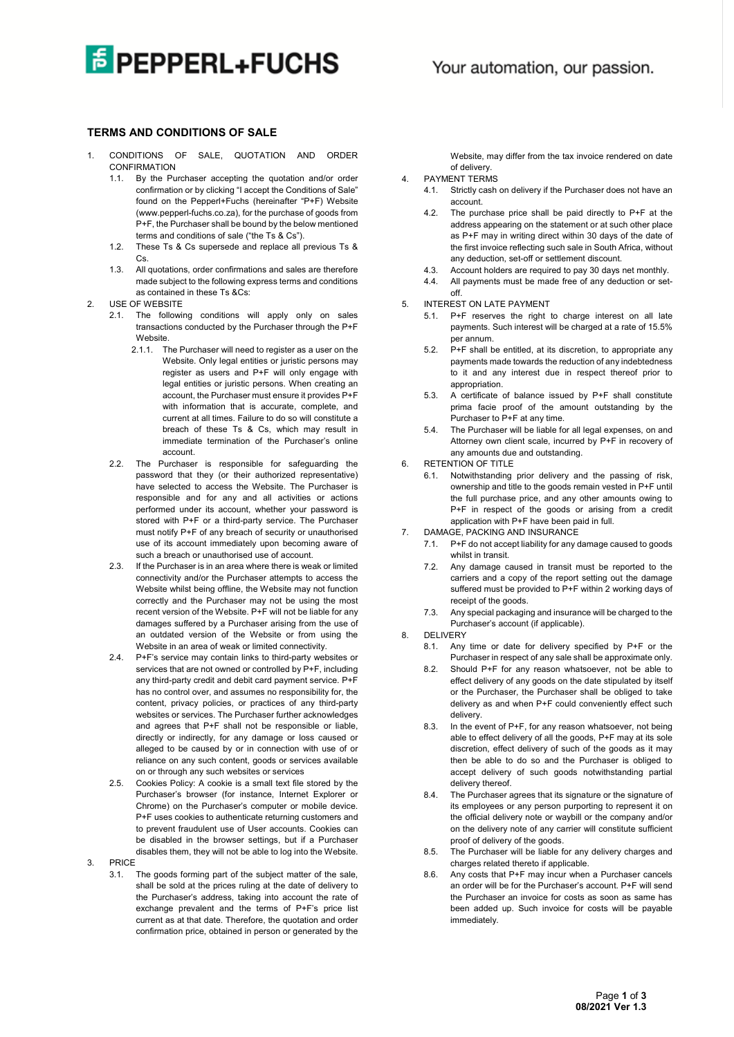## **E PEPPERL+FUCHS**

## **TERMS AND CONDITIONS OF SALE**

- 1. CONDITIONS OF SALE, QUOTATION AND ORDER CONFIRMATION
	- 1.1. By the Purchaser accepting the quotation and/or order confirmation or by clicking "I accept the Conditions of Sale" found on the Pepperl+Fuchs (hereinafter "P+F) Website (www.pepperl-fuchs.co.za), for the purchase of goods from P+F, the Purchaser shall be bound by the below mentioned terms and conditions of sale ("the Ts & Cs").
	- 1.2. These Ts & Cs supersede and replace all previous Ts & Cs.
	- 1.3. All quotations, order confirmations and sales are therefore made subject to the following express terms and conditions as contained in these Ts &Cs:
- 2. USE OF WEBSITE
	- 2.1. The following conditions will apply only on sales transactions conducted by the Purchaser through the P+F Website
		- 2.1.1. The Purchaser will need to register as a user on the Website. Only legal entities or juristic persons may register as users and P+F will only engage with legal entities or juristic persons. When creating an account, the Purchaser must ensure it provides P+F with information that is accurate, complete, and current at all times. Failure to do so will constitute a breach of these Ts & Cs, which may result in immediate termination of the Purchaser's online account.
	- 2.2. The Purchaser is responsible for safeguarding the password that they (or their authorized representative) have selected to access the Website. The Purchaser is responsible and for any and all activities or actions performed under its account, whether your password is stored with P+F or a third-party service. The Purchaser must notify P+F of any breach of security or unauthorised use of its account immediately upon becoming aware of such a breach or unauthorised use of account.
	- 2.3. If the Purchaser is in an area where there is weak or limited connectivity and/or the Purchaser attempts to access the Website whilst being offline, the Website may not function correctly and the Purchaser may not be using the most recent version of the Website. P+F will not be liable for any damages suffered by a Purchaser arising from the use of an outdated version of the Website or from using the Website in an area of weak or limited connectivity.
	- 2.4. P+F's service may contain links to third-party websites or services that are not owned or controlled by P+F, including any third-party credit and debit card payment service. P+F has no control over, and assumes no responsibility for, the content, privacy policies, or practices of any third-party websites or services. The Purchaser further acknowledges and agrees that P+F shall not be responsible or liable, directly or indirectly, for any damage or loss caused or alleged to be caused by or in connection with use of or reliance on any such content, goods or services available on or through any such websites or services
	- 2.5. Cookies Policy: A cookie is a small text file stored by the Purchaser's browser (for instance, Internet Explorer or Chrome) on the Purchaser's computer or mobile device. P+F uses cookies to authenticate returning customers and to prevent fraudulent use of User accounts. Cookies can be disabled in the browser settings, but if a Purchaser disables them, they will not be able to log into the Website.

3. PRICE

3.1. The goods forming part of the subject matter of the sale, shall be sold at the prices ruling at the date of delivery to the Purchaser's address, taking into account the rate of exchange prevalent and the terms of P+F's price list current as at that date. Therefore, the quotation and order confirmation price, obtained in person or generated by the Website, may differ from the tax invoice rendered on date of delivery.

- 4. PAYMENT TERMS
	- 4.1. Strictly cash on delivery if the Purchaser does not have an account.
	- 4.2. The purchase price shall be paid directly to P+F at the address appearing on the statement or at such other place as P+F may in writing direct within 30 days of the date of the first invoice reflecting such sale in South Africa, without any deduction, set-off or settlement discount.
	- 4.3. Account holders are required to pay 30 days net monthly.
	- 4.4. All payments must be made free of any deduction or setoff.
- 5. INTEREST ON LATE PAYMENT
	- 5.1. P+F reserves the right to charge interest on all late payments. Such interest will be charged at a rate of 15.5% per annum.
	- 5.2. P+F shall be entitled, at its discretion, to appropriate any payments made towards the reduction of any indebtedness to it and any interest due in respect thereof prior to appropriation.
	- 5.3. A certificate of balance issued by P+F shall constitute prima facie proof of the amount outstanding by the Purchaser to P+F at any time.
	- 5.4. The Purchaser will be liable for all legal expenses, on and Attorney own client scale, incurred by P+F in recovery of any amounts due and outstanding.
- 6. RETENTION OF TITLE
	- 6.1. Notwithstanding prior delivery and the passing of risk, ownership and title to the goods remain vested in P+F until the full purchase price, and any other amounts owing to P+F in respect of the goods or arising from a credit application with P+F have been paid in full.
- DAMAGE, PACKING AND INSURANCE
	- 7.1. P+F do not accept liability for any damage caused to goods whilst in transit.
	- 7.2. Any damage caused in transit must be reported to the carriers and a copy of the report setting out the damage suffered must be provided to P+F within 2 working days of receipt of the goods.
	- 7.3. Any special packaging and insurance will be charged to the Purchaser's account (if applicable).
- 8. DELIVERY
	- 8.1. Any time or date for delivery specified by P+F or the Purchaser in respect of any sale shall be approximate only.
	- 8.2. Should P+F for any reason whatsoever, not be able to effect delivery of any goods on the date stipulated by itself or the Purchaser, the Purchaser shall be obliged to take delivery as and when P+F could conveniently effect such delivery.
	- 8.3. In the event of P+F, for any reason whatsoever, not being able to effect delivery of all the goods, P+F may at its sole discretion, effect delivery of such of the goods as it may then be able to do so and the Purchaser is obliged to accept delivery of such goods notwithstanding partial delivery thereof.
	- 8.4. The Purchaser agrees that its signature or the signature of its employees or any person purporting to represent it on the official delivery note or waybill or the company and/or on the delivery note of any carrier will constitute sufficient proof of delivery of the goods.
	- 8.5. The Purchaser will be liable for any delivery charges and charges related thereto if applicable.
	- 8.6. Any costs that P+F may incur when a Purchaser cancels an order will be for the Purchaser's account. P+F will send the Purchaser an invoice for costs as soon as same has been added up. Such invoice for costs will be payable immediately.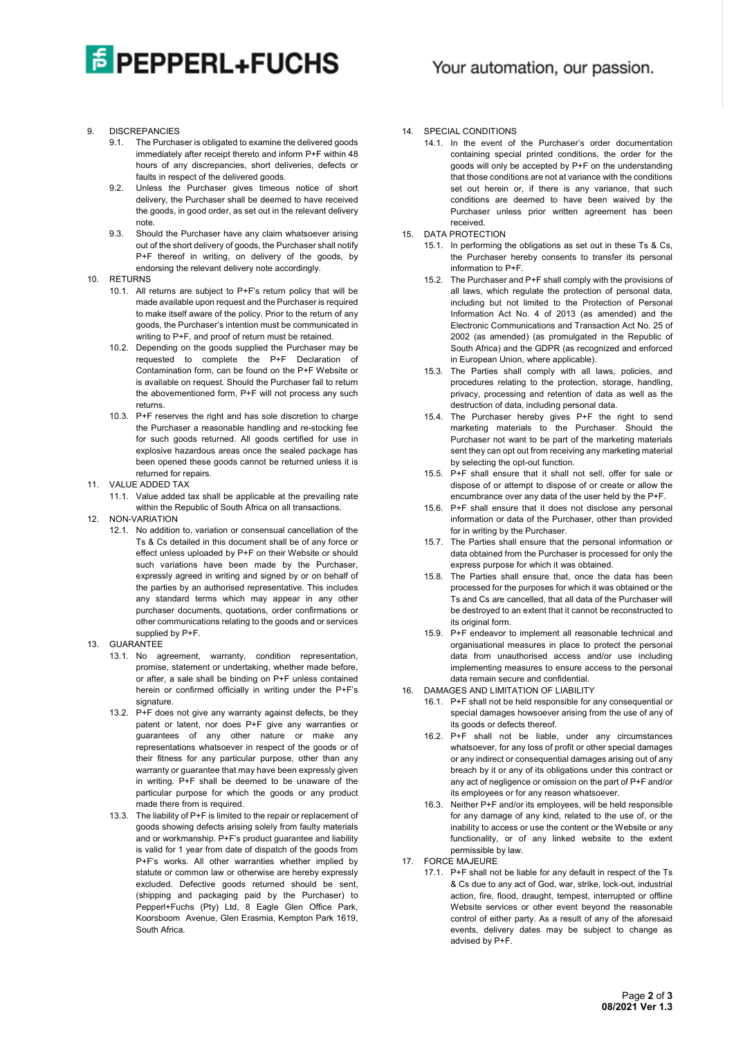

- 9. DISCREPANCIES
	- 9.1. The Purchaser is obligated to examine the delivered goods immediately after receipt thereto and inform P+F within 48 hours of any discrepancies, short deliveries, defects or faults in respect of the delivered goods.
	- 9.2. Unless the Purchaser gives timeous notice of short delivery, the Purchaser shall be deemed to have received the goods, in good order, as set out in the relevant delivery note.
	- 9.3. Should the Purchaser have any claim whatsoever arising out of the short delivery of goods, the Purchaser shall notify P+F thereof in writing, on delivery of the goods, by endorsing the relevant delivery note accordingly.
- 10. RETURNS
	- 10.1. All returns are subject to P+F's return policy that will be made available upon request and the Purchaser is required to make itself aware of the policy. Prior to the return of any goods, the Purchaser's intention must be communicated in writing to P+F, and proof of return must be retained.
	- 10.2. Depending on the goods supplied the Purchaser may be requested to complete the P+F Declaration of Contamination form, can be found on the P+F Website or is available on request. Should the Purchaser fail to return the abovementioned form, P+F will not process any such returns.
	- 10.3. P+F reserves the right and has sole discretion to charge the Purchaser a reasonable handling and re-stocking fee for such goods returned. All goods certified for use in explosive hazardous areas once the sealed package has been opened these goods cannot be returned unless it is returned for repairs.
- 11. VALUE ADDED TAX
	- 11.1. Value added tax shall be applicable at the prevailing rate within the Republic of South Africa on all transactions.
- 12. NON-VARIATION
	- 12.1. No addition to, variation or consensual cancellation of the Ts & Cs detailed in this document shall be of any force or effect unless uploaded by P+F on their Website or should such variations have been made by the Purchaser. expressly agreed in writing and signed by or on behalf of the parties by an authorised representative. This includes any standard terms which may appear in any other purchaser documents, quotations, order confirmations or other communications relating to the goods and or services supplied by P+F.
- 13. GUARANTEE
	- 13.1. No agreement, warranty, condition representation, promise, statement or undertaking, whether made before, or after, a sale shall be binding on P+F unless contained herein or confirmed officially in writing under the P+F's signature.
	- 13.2. P+F does not give any warranty against defects, be they patent or latent, nor does P+F give any warranties or guarantees of any other nature or make any representations whatsoever in respect of the goods or of their fitness for any particular purpose, other than any warranty or guarantee that may have been expressly given in writing. P+F shall be deemed to be unaware of the particular purpose for which the goods or any product made there from is required.
	- 13.3. The liability of P+F is limited to the repair or replacement of goods showing defects arising solely from faulty materials and or workmanship. P+F's product guarantee and liability is valid for 1 year from date of dispatch of the goods from P+F's works. All other warranties whether implied by statute or common law or otherwise are hereby expressly excluded. Defective goods returned should be sent, (shipping and packaging paid by the Purchaser) to Pepperl+Fuchs (Pty) Ltd, 8 Eagle Glen Office Park, Koorsboom Avenue, Glen Erasmia, Kempton Park 1619, South Africa.
- 14. SPECIAL CONDITIONS
	- 14.1. In the event of the Purchaser's order documentation containing special printed conditions, the order for the goods will only be accepted by P+F on the understanding that those conditions are not at variance with the conditions set out herein or, if there is any variance, that such conditions are deemed to have been waived by the Purchaser unless prior written agreement has been received.
- 15. DATA PROTECTION
	- 15.1. In performing the obligations as set out in these Ts & Cs, the Purchaser hereby consents to transfer its personal information to P+F.
	- 15.2. The Purchaser and P+F shall comply with the provisions of all laws, which regulate the protection of personal data, including but not limited to the Protection of Personal Information Act No. 4 of 2013 (as amended) and the Electronic Communications and Transaction Act No. 25 of 2002 (as amended) (as promulgated in the Republic of South Africa) and the GDPR (as recognized and enforced in European Union, where applicable).
	- 15.3. The Parties shall comply with all laws, policies, and procedures relating to the protection, storage, handling, privacy, processing and retention of data as well as the destruction of data, including personal data.
	- 15.4. The Purchaser hereby gives P+F the right to send marketing materials to the Purchaser. Should the Purchaser not want to be part of the marketing materials sent they can opt out from receiving any marketing material by selecting the opt-out function.
	- 15.5. P+F shall ensure that it shall not sell, offer for sale or dispose of or attempt to dispose of or create or allow the encumbrance over any data of the user held by the P+F.
	- 15.6. P+F shall ensure that it does not disclose any personal information or data of the Purchaser, other than provided for in writing by the Purchaser.
	- 15.7. The Parties shall ensure that the personal information or data obtained from the Purchaser is processed for only the express purpose for which it was obtained.
	- 15.8. The Parties shall ensure that, once the data has been processed for the purposes for which it was obtained or the Ts and Cs are cancelled, that all data of the Purchaser will be destroyed to an extent that it cannot be reconstructed to its original form.
	- 15.9. P+F endeavor to implement all reasonable technical and organisational measures in place to protect the personal data from unauthorised access and/or use including implementing measures to ensure access to the personal data remain secure and confidential.
- 16. DAMAGES AND LIMITATION OF LIABILITY
	- 16.1. P+F shall not be held responsible for any consequential or special damages howsoever arising from the use of any of its goods or defects thereof.
	- 16.2. P+F shall not be liable, under any circumstances whatsoever, for any loss of profit or other special damages or any indirect or consequential damages arising out of any breach by it or any of its obligations under this contract or any act of negligence or omission on the part of P+F and/or its employees or for any reason whatsoever.
	- 16.3. Neither P+F and/or its employees, will be held responsible for any damage of any kind, related to the use of, or the inability to access or use the content or the Website or any functionality, or of any linked website to the extent permissible by law.
- 17. FORCE MAJEURE
	- 17.1. P+F shall not be liable for any default in respect of the Ts & Cs due to any act of God, war, strike, lock-out, industrial action, fire, flood, draught, tempest, interrupted or offline Website services or other event beyond the reasonable control of either party. As a result of any of the aforesaid events, delivery dates may be subject to change as advised by P+F.